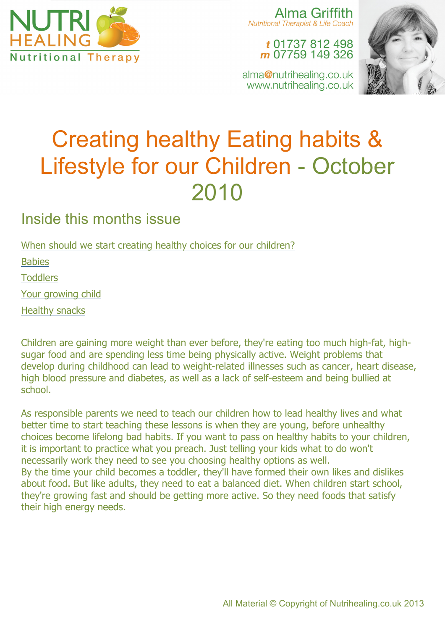

Alma Griffith Nutritional Therapist & Life Coach

## t 01737 812 498 m 07759 149 326

alma@nutrihealing.co.uk www.nutrihealing.co.uk



# Creating healthy Eating habits & Lifestyle for our Children - October 2010

# Inside this months issue

When should we start creating healthy choices for our children?

Babies

**Toddlers** 

Your growing child

Healthy snacks

Children are gaining more weight than ever before, they're eating too much high-fat, highsugar food and are spending less time being physically active. Weight problems that develop during childhood can lead to weight-related illnesses such as cancer, heart disease, high blood pressure and diabetes, as well as a lack of self-esteem and being bullied at school.

As responsible parents we need to teach our children how to lead healthy lives and what better time to start teaching these lessons is when they are young, before unhealthy choices become lifelong bad habits. If you want to pass on healthy habits to your children, it is important to practice what you preach. Just telling your kids what to do won't necessarily work they need to see you choosing healthy options as well. By the time your child becomes a toddler, they'll have formed their own likes and dislikes about food. But like adults, they need to eat a balanced diet. When children start school, they're growing fast and should be getting more active. So they need foods that satisfy their high energy needs.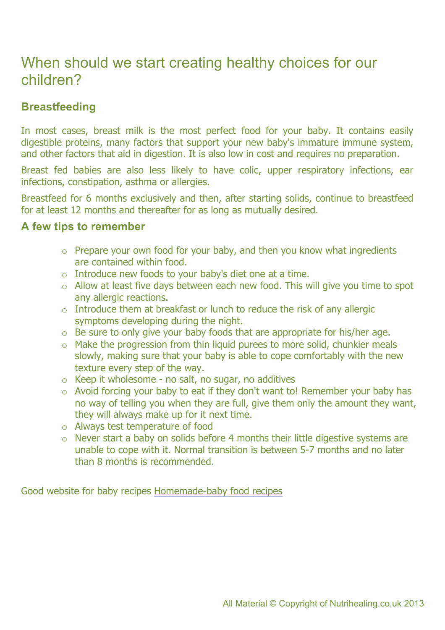## When should we start creating healthy choices for our children?

## **Breastfeeding**

In most cases, breast milk is the most perfect food for your baby. It contains easily digestible proteins, many factors that support your new baby's immature immune system, and other factors that aid in digestion. It is also low in cost and requires no preparation.

Breast fed babies are also less likely to have colic, upper respiratory infections, ear infections, constipation, asthma or allergies.

Breastfeed for 6 months exclusively and then, after starting solids, continue to breastfeed for at least 12 months and thereafter for as long as mutually desired.

#### **A few tips to remember**

- $\circ$  Prepare your own food for your baby, and then you know what ingredients are contained within food.
- o Introduce new foods to your baby's diet one at a time.
- $\circ$  Allow at least five days between each new food. This will give you time to spot any allergic reactions.
- $\circ$  Introduce them at breakfast or lunch to reduce the risk of any allergic symptoms developing during the night.
- $\circ$  Be sure to only give your baby foods that are appropriate for his/her age.
- o Make the progression from thin liquid purees to more solid, chunkier meals slowly, making sure that your baby is able to cope comfortably with the new texture every step of the way.
- $\circ$  Keep it wholesome no salt, no sugar, no additives
- $\circ$  Avoid forcing your baby to eat if they don't want to! Remember your baby has no way of telling you when they are full, give them only the amount they want, they will always make up for it next time.
- o Always test temperature of food
- o Never start a baby on solids before 4 months their little digestive systems are unable to cope with it. Normal transition is between 5-7 months and no later than 8 months is recommended.

Good website for baby recipes Homemade-baby food recipes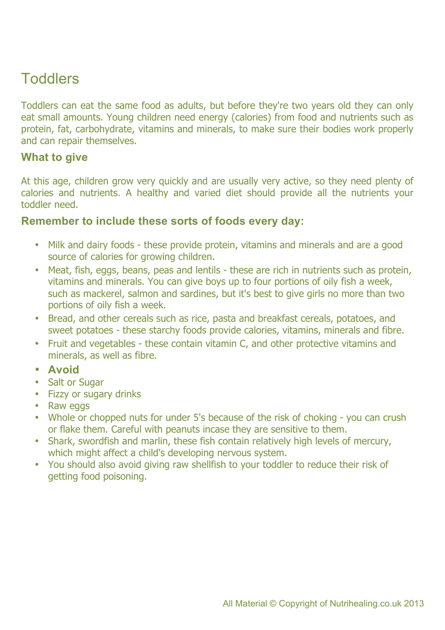# **Toddlers**

Toddlers can eat the same food as adults, but before they're two years old they can only eat small amounts. Young children need energy (calories) from food and nutrients such as protein, fat, carbohydrate, vitamins and minerals, to make sure their bodies work properly and can repair themselves.

### **What to give**

At this age, children grow very quickly and are usually very active, so they need plenty of calories and nutrients. A healthy and varied diet should provide all the nutrients your toddler need.

### **Remember to include these sorts of foods every day:**

- Milk and dairy foods these provide protein, vitamins and minerals and are a good source of calories for growing children.
- Meat, fish, eggs, beans, peas and lentils these are rich in nutrients such as protein, vitamins and minerals. You can give boys up to four portions of oily fish a week, such as mackerel, salmon and sardines, but it's best to give girls no more than two portions of oily fish a week.
- Bread, and other cereals such as rice, pasta and breakfast cereals, potatoes, and sweet potatoes - these starchy foods provide calories, vitamins, minerals and fibre.
- Fruit and vegetables these contain vitamin C, and other protective vitamins and minerals, as well as fibre.
- **Avoid**
- Salt or Sugar
- Fizzy or sugary drinks
- Raw eggs
- Whole or chopped nuts for under 5's because of the risk of choking you can crush or flake them. Careful with peanuts incase they are sensitive to them.
- Shark, swordfish and marlin, these fish contain relatively high levels of mercury, which might affect a child's developing nervous system.
- You should also avoid giving raw shellfish to your toddler to reduce their risk of getting food poisoning.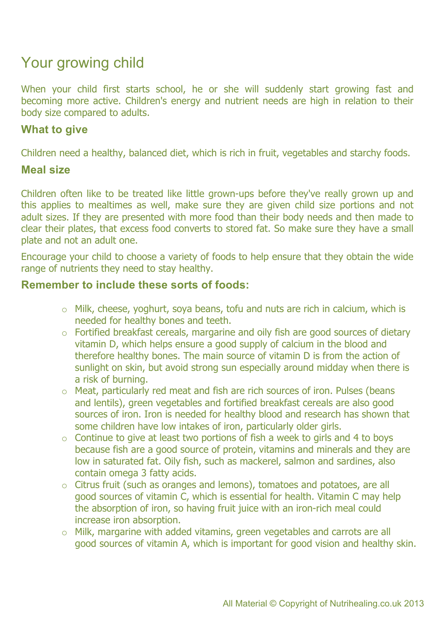# Your growing child

When your child first starts school, he or she will suddenly start growing fast and becoming more active. Children's energy and nutrient needs are high in relation to their body size compared to adults.

## **What to give**

Children need a healthy, balanced diet, which is rich in fruit, vegetables and starchy foods.

#### **Meal size**

Children often like to be treated like little grown-ups before they've really grown up and this applies to mealtimes as well, make sure they are given child size portions and not adult sizes. If they are presented with more food than their body needs and then made to clear their plates, that excess food converts to stored fat. So make sure they have a small plate and not an adult one.

Encourage your child to choose a variety of foods to help ensure that they obtain the wide range of nutrients they need to stay healthy.

#### **Remember to include these sorts of foods:**

- o Milk, cheese, yoghurt, soya beans, tofu and nuts are rich in calcium, which is needed for healthy bones and teeth.
- o Fortified breakfast cereals, margarine and oily fish are good sources of dietary vitamin D, which helps ensure a good supply of calcium in the blood and therefore healthy bones. The main source of vitamin D is from the action of sunlight on skin, but avoid strong sun especially around midday when there is a risk of burning.
- o Meat, particularly red meat and fish are rich sources of iron. Pulses (beans and lentils), green vegetables and fortified breakfast cereals are also good sources of iron. Iron is needed for healthy blood and research has shown that some children have low intakes of iron, particularly older girls.
- $\circ$  Continue to give at least two portions of fish a week to girls and 4 to boys because fish are a good source of protein, vitamins and minerals and they are low in saturated fat. Oily fish, such as mackerel, salmon and sardines, also contain omega 3 fatty acids.
- o Citrus fruit (such as oranges and lemons), tomatoes and potatoes, are all good sources of vitamin C, which is essential for health. Vitamin C may help the absorption of iron, so having fruit juice with an iron-rich meal could increase iron absorption.
- o Milk, margarine with added vitamins, green vegetables and carrots are all good sources of vitamin A, which is important for good vision and healthy skin.